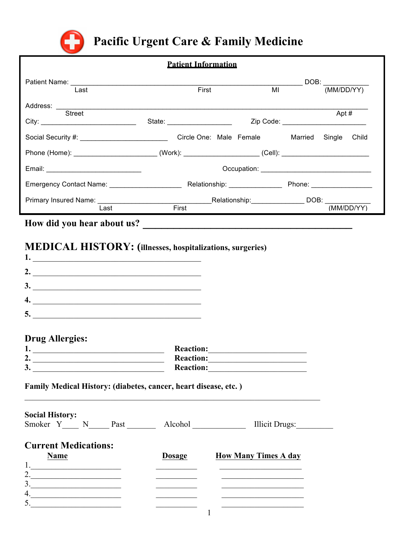

# Pacific Urgent Care & Family Medicine

# **Patient Information**

| Last                                                                                                                   | First                        | MI                      |                | (MM/DD/YY)                                  |
|------------------------------------------------------------------------------------------------------------------------|------------------------------|-------------------------|----------------|---------------------------------------------|
| <b>Street</b>                                                                                                          | State: _____________________ |                         |                | Apt #<br>Zip Code: ________________________ |
|                                                                                                                        |                              | Circle One: Male Female | Married Single | Child                                       |
| Phone (Home): _______________________________(Work): ___________________________(Cell): ______________________         |                              |                         |                |                                             |
|                                                                                                                        |                              |                         |                |                                             |
|                                                                                                                        |                              |                         |                |                                             |
| Primary Insured Name: Name and American Control of Relationship: Name DOB: Name DOB: Name OB: Name OB: Name OB<br>Last | First                        |                         |                | (MM/DD/YY)                                  |
| How did you hear about us?                                                                                             |                              |                         |                |                                             |

# **MEDICAL HISTORY:** (illnesses, hospitalizations, surgeries)

# **Drug Allergies:**

| л.                      | <b>Reaction:</b> |
|-------------------------|------------------|
| $\rightarrow$<br>۷.     | <b>Reaction:</b> |
| $\mathbf{\hat{}}$<br>J. | <b>Reaction:</b> |

## Family Medical History: (diabetes, cancer, heart disease, etc.)

| <b>Social History:</b><br>Smoker Y N<br>Past | Alcohol       | Illicit Drugs:              |
|----------------------------------------------|---------------|-----------------------------|
| <b>Current Medications:</b><br><b>Name</b>   | <b>Dosage</b> | <b>How Many Times A day</b> |
| 2.                                           |               |                             |
| 3 <sub>1</sub>                               |               |                             |
| 4.<br>5.                                     |               |                             |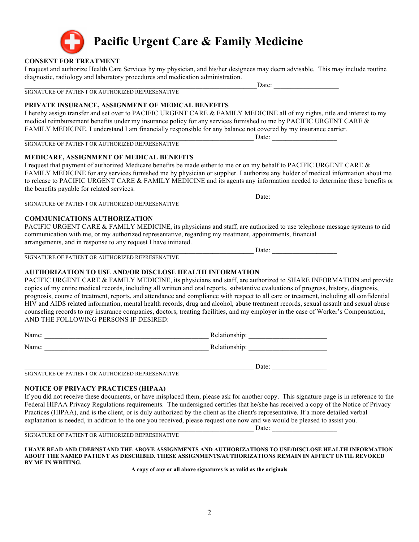

**Pacific Urgent Care & Family Medicine**

#### **CONSENT FOR TREATMENT**

I request and authorize Health Care Services by my physician, and his/her designees may deem advisable. This may include routine diagnostic, radiology and laboratory procedures and medication administration.

SIGNATURE OF PATIENT OR AUTHORIZED REPRESENATIVE

#### **PRIVATE INSURANCE, ASSIGNMENT OF MEDICAL BENEFITS**

I hereby assign transfer and set over to PACIFIC URGENT CARE & FAMILY MEDICINE all of my rights, title and interest to my medical reimbursement benefits under my insurance policy for any services furnished to me by PACIFIC URGENT CARE & FAMILY MEDICINE. I understand I am financially responsible for any balance not covered by my insurance carrier.

SIGNATURE OF PATIENT OR AUTHORIZED REPRESENATIVE

#### **MEDICARE, ASSIGNMENT OF MEDICAL BENEFITS**

I request that payment of authorized Medicare benefits be made either to me or on my behalf to PACIFIC URGENT CARE & FAMILY MEDICINE for any services furnished me by physician or supplier. I authorize any holder of medical information about me to release to PACIFIC URGENT CARE & FAMILY MEDICINE and its agents any information needed to determine these benefits or the benefits payable for related services.

SIGNATURE OF PATIENT OR AUTHORIZED REPRESENATIVE

#### **COMMUNICATIONS AUTHORIZATION**

PACIFIC URGENT CARE & FAMILY MEDICINE, its physicians and staff, are authorized to use telephone message systems to aid communication with me, or my authorized representative, regarding my treatment, appointments, financial arrangements, and in response to any request I have initiated.

 $\Box$  Date: SIGNATURE OF PATIENT OR AUTHORIZED REPRESENATIVE

#### **AUTHORIZATION TO USE AND/OR DISCLOSE HEALTH INFORMATION**

PACIFIC URGENT CARE & FAMILY MEDICINE, its physicians and staff, are authorized to SHARE INFORMATION and provide copies of my entire medical records, including all written and oral reports, substantive evaluations of progress, history, diagnosis, prognosis, course of treatment, reports, and attendance and compliance with respect to all care or treatment, including all confidential HIV and AIDS related information, mental health records, drug and alcohol, abuse treatment records, sexual assault and sexual abuse counseling records to my insurance companies, doctors, treating facilities, and my employer in the case of Worker's Compensation, AND THE FOLLOWING PERSONS IF DESIRED:

| Name: | Relationship: |
|-------|---------------|
| Name: | Relationship: |

SIGNATURE OF PATIENT OR AUTHORIZED REPRESENATIVE

#### **NOTICE OF PRIVACY PRACTICES (HIPAA)**

If you did not receive these documents, or have misplaced them, please ask for another copy. This signature page is in reference to the Federal HIPAA Privacy Regulations requirements. The undersigned certifies that he/she has received a copy of the Notice of Privacy Practices (HIPAA), and is the client, or is duly authorized by the client as the client's representative. If a more detailed verbal explanation is needed, in addition to the one you received, please request one now and we would be pleased to assist you. \_\_\_\_\_\_\_\_\_\_\_\_\_\_\_\_\_\_\_\_\_\_\_\_\_\_\_\_\_\_\_\_\_\_\_\_\_\_\_\_\_\_\_\_\_\_\_\_\_\_\_\_\_\_\_\_\_\_\_\_\_\_\_\_\_\_\_ Date: \_\_\_\_\_\_\_\_\_\_\_\_\_\_\_\_\_\_\_

SIGNATURE OF PATIENT OR AUTHORIZED REPRESENATIVE

**I HAVE READ AND UDERNSTAND THE ABOVE ASSIGNMENTS AND AUTHORIZATIONS TO USE/DISCLOSE HEALTH INFORMATION ABOUT THE NAMED PATIENT AS DESCRIBED. THESE ASSIGNMENTS/AUTHORIZATIONS REMAIN IN AFFECT UNTIL REVOKED BY ME IN WRITING.**

**A copy of any or all above signatures is as valid as the originals**

Date:

\_\_\_\_\_\_\_\_\_\_\_\_\_\_\_\_\_\_\_\_\_\_\_\_\_\_\_\_\_\_\_\_\_\_\_\_\_\_\_\_\_\_\_\_\_\_\_\_\_\_\_\_\_\_\_\_\_\_\_\_\_\_\_\_\_\_\_ Date: \_\_\_\_\_\_\_\_\_\_\_\_\_\_\_\_

\_\_\_\_\_\_\_\_\_\_\_\_\_\_\_\_\_\_\_\_\_\_\_\_\_\_\_\_\_\_\_\_\_\_\_\_\_\_\_\_\_\_\_\_\_\_\_\_\_\_\_\_\_\_\_\_\_\_\_\_\_\_\_\_\_\_\_ Date: \_\_\_\_\_\_\_\_\_\_\_\_\_\_\_\_\_\_\_

 $\Box$  Date: